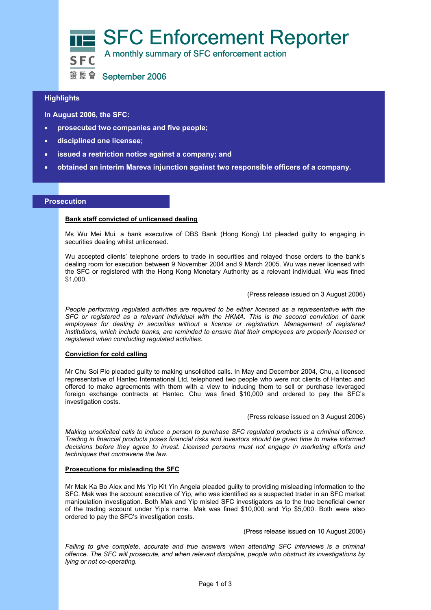

# **Highlights**

**In August 2006, the SFC:** 

- **prosecuted two companies and five people;**
- **disciplined one licensee;**
- **issued a restriction notice against a company; and**
- **obtained an interim Mareva injunction against two responsible officers of a company.**

### **Prosecution**

### **Bank staff convicted of unlicensed dealing**

Ms Wu Mei Mui, a bank executive of DBS Bank (Hong Kong) Ltd pleaded guilty to engaging in securities dealing whilst unlicensed.

Wu accepted clients' telephone orders to trade in securities and relayed those orders to the bank's dealing room for execution between 9 November 2004 and 9 March 2005. Wu was never licensed with the SFC or registered with the Hong Kong Monetary Authority as a relevant individual. Wu was fined \$1,000.

#### (Press release issued on 3 August 2006)

*People performing regulated activities are required to be either licensed as a representative with the SFC or registered as a relevant individual with the HKMA. This is the second conviction of bank employees for dealing in securities without a licence or registration. Management of registered institutions, which include banks, are reminded to ensure that their employees are properly licensed or registered when conducting regulated activities.* 

#### **Conviction for cold calling**

Mr Chu Soi Pio pleaded guilty to making unsolicited calls. In May and December 2004, Chu, a licensed representative of Hantec International Ltd, telephoned two people who were not clients of Hantec and offered to make agreements with them with a view to inducing them to sell or purchase leveraged foreign exchange contracts at Hantec. Chu was fined \$10,000 and ordered to pay the SFC's investigation costs.

(Press release issued on 3 August 2006)

*Making unsolicited calls to induce a person to purchase SFC regulated products is a criminal offence. Trading in financial products poses financial risks and investors should be given time to make informed decisions before they agree to invest. Licensed persons must not engage in marketing efforts and techniques that contravene the law.* 

#### **Prosecutions for misleading the SFC**

Mr Mak Ka Bo Alex and Ms Yip Kit Yin Angela pleaded guilty to providing misleading information to the SFC. Mak was the account executive of Yip, who was identified as a suspected trader in an SFC market manipulation investigation. Both Mak and Yip misled SFC investigators as to the true beneficial owner of the trading account under Yip's name. Mak was fined \$10,000 and Yip \$5,000. Both were also ordered to pay the SFC's investigation costs.

(Press release issued on 10 August 2006)

*Failing to give complete, accurate and true answers when attending SFC interviews is a criminal offence. The SFC will prosecute, and when relevant discipline, people who obstruct its investigations by lying or not co-operating.*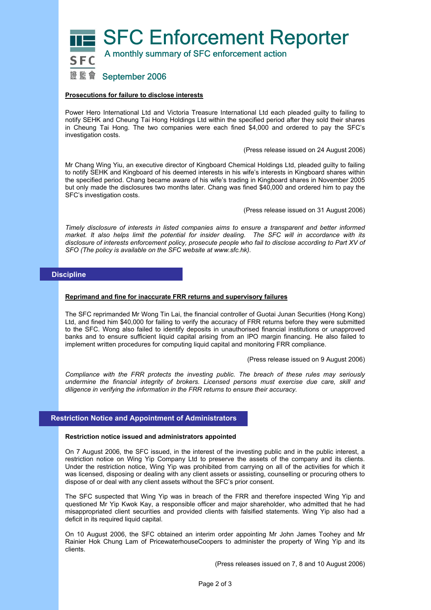SFC Enforcement Reporter



A monthly summary of SFC enforcement action

# 證監會 September 2006

# **Prosecutions for failure to disclose interests**

Power Hero International Ltd and Victoria Treasure International Ltd each pleaded guilty to failing to notify SEHK and Cheung Tai Hong Holdings Ltd within the specified period after they sold their shares in Cheung Tai Hong. The two companies were each fined \$4,000 and ordered to pay the SFC's investigation costs.

(Press release issued on 24 August 2006)

Mr Chang Wing Yiu, an executive director of Kingboard Chemical Holdings Ltd, pleaded guilty to failing to notify SEHK and Kingboard of his deemed interests in his wife's interests in Kingboard shares within the specified period. Chang became aware of his wife's trading in Kingboard shares in November 2005 but only made the disclosures two months later. Chang was fined \$40,000 and ordered him to pay the SFC's investigation costs.

(Press release issued on 31 August 2006)

*Timely disclosure of interests in listed companies aims to ensure a transparent and better informed market. It also helps limit the potential for insider dealing. The SFC will in accordance with its disclosure of interests enforcement policy, prosecute people who fail to disclose according to Part XV of SFO (The policy is available on the SFC website at www.sfc.hk).*

# **Discipline**

# **Reprimand and fine for inaccurate FRR returns and supervisory failures**

The SFC reprimanded Mr Wong Tin Lai, the financial controller of Guotai Junan Securities (Hong Kong) Ltd, and fined him \$40,000 for failing to verify the accuracy of FRR returns before they were submitted to the SFC. Wong also failed to identify deposits in unauthorised financial institutions or unapproved banks and to ensure sufficient liquid capital arising from an IPO margin financing. He also failed to implement written procedures for computing liquid capital and monitoring FRR compliance.

(Press release issued on 9 August 2006)

*Compliance with the FRR protects the investing public. The breach of these rules may seriously undermine the financial integrity of brokers. Licensed persons must exercise due care, skill and diligence in verifying the information in the FRR returns to ensure their accuracy.* 

# **Restriction Notice and Appointment of Administrators**

### **Restriction notice issued and administrators appointed**

On 7 August 2006, the SFC issued, in the interest of the investing public and in the public interest, a restriction notice on Wing Yip Company Ltd to preserve the assets of the company and its clients. Under the restriction notice, Wing Yip was prohibited from carrying on all of the activities for which it was licensed, disposing or dealing with any client assets or assisting, counselling or procuring others to dispose of or deal with any client assets without the SFC's prior consent.

The SFC suspected that Wing Yip was in breach of the FRR and therefore inspected Wing Yip and questioned Mr Yip Kwok Kay, a responsible officer and major shareholder, who admitted that he had misappropriated client securities and provided clients with falsified statements. Wing Yip also had a deficit in its required liquid capital.

On 10 August 2006, the SFC obtained an interim order appointing Mr John James Toohey and Mr Rainier Hok Chung Lam of PricewaterhouseCoopers to administer the property of Wing Yip and its clients.

(Press releases issued on 7, 8 and 10 August 2006)